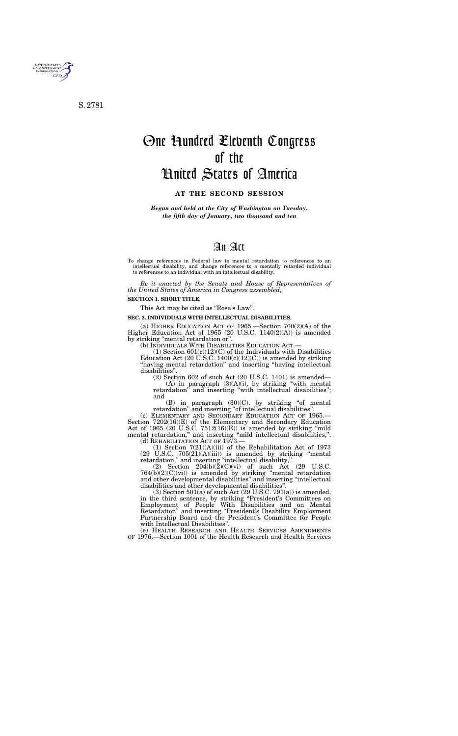# An Act

To change references in Federal law to mental retardation to references to an intellectual disability, and change references to a mentally retarded individual to references to an individual with an intellectual disability.

*Be it enacted by the Senate and House of Representatives of the United States of America in Congress assembled,* 

#### **SECTION 1. SHORT TITLE.**

This Act may be cited as ''Rosa's Law''.

#### **SEC. 2. INDIVIDUALS WITH INTELLECTUAL DISABILITIES.**

(a) HIGHER EDUCATION ACT OF 1965.—Section 760(2)(A) of the Higher Education Act of 1965 (20 U.S.C. 1140(2)(A)) is amended by striking ''mental retardation or''.

(b) INDIVIDUALS WITH DISABILITIES EDUCATION ACT.—

(1) Section  $601(c)(12)(C)$  of the Individuals with Disabilities Education Act (20 U.S.C.  $1400(c)(12)(C)$ ) is amended by striking ''having mental retardation'' and inserting ''having intellectual disabilities''.

(2) Section 602 of such Act (20 U.S.C. 1401) is amended—

(A) in paragraph  $(3)(A)(i)$ , by striking "with mental retardation" and inserting "with intellectual disabilities"; and

 $(B)$  in paragraph  $(30)(C)$ , by striking "of mental retardation" and inserting "of intellectual disabilities".

(c) ELEMENTARY AND SECONDARY EDUCATION ACT OF 1965.— Section 7202(16)(E) of the Elementary and Secondary Education Act of 1965 (20 U.S.C.  $7512(16)(E)$ ) is amended by striking "mild" mental retardation," and inserting "mild intellectual disabilities,". (d) REHABILITATION ACT OF 1973.—

(1) Section 7(21)(A)(iii) of the Rehabilitation Act of 1973  $(29 \text{ U.S.C. } 705(21)(\text{A})(iii))$  is amended by striking "mental retardation,'' and inserting ''intellectual disability,''.

(2) Section  $204(b)(2)(C)(vi)$  of such Act (29 U.S.C.  $764(b)(2)(C)(vi)$  is amended by striking "mental retardation and other developmental disabilities'' and inserting ''intellectual disabilities and other developmental disabilities''.

 $(3)$  Section 501(a) of such Act (29 U.S.C. 791(a)) is amended, in the third sentence, by striking ''President's Committees on Employment of People With Disabilities and on Mental Retardation" and inserting "President's Disability Employment Partnership Board and the President's Committee for People with Intellectual Disabilities''.

(e) HEALTH RESEARCH AND HEALTH SERVICES AMENDMENTS OF 1976.—Section 1001 of the Health Research and Health Services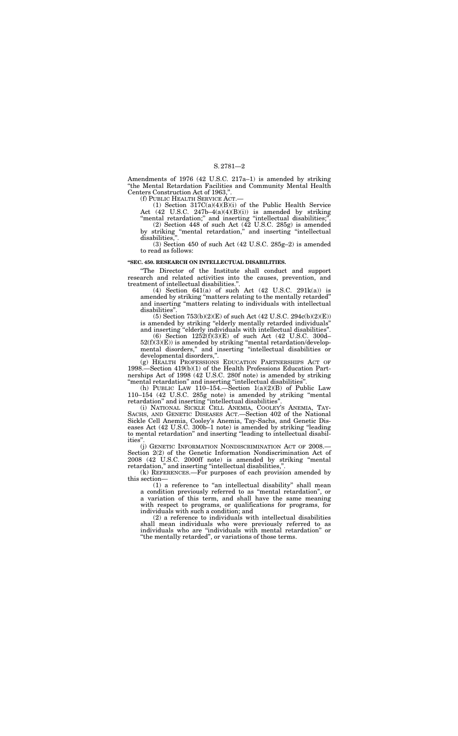#### S. 2781—2

Amendments of 1976 (42 U.S.C. 217a–1) is amended by striking ''the Mental Retardation Facilities and Community Mental Health Centers Construction Act of 1963,''.

(1) Section 317C(a)(4)(B)(i) of the Public Health Service Act (42 U.S.C. 247b–4(a)(4)(B)(i)) is amended by striking "mental retardation;" and inserting "intellectual disabilities;".

(f) PUBLIC HEALTH SERVICE ACT.—

(2) Section 448 of such Act (42 U.S.C. 285g) is amended by striking "mental retardation," and inserting "intellectual disabilities,

(3) Section 450 of such Act (42 U.S.C. 285g–2) is amended to read as follows:

(5) Section  $753(b)(2)(E)$  of such Act  $(42 \text{ U.S.C. } 294c(b)(2)(E))$ is amended by striking "elderly mentally retarded individuals" and inserting ''elderly individuals with intellectual disabilities''.

## **''SEC. 450. RESEARCH ON INTELLECTUAL DISABILITIES.**

(g) HEALTH PROFESSIONS EDUCATION PARTNERSHIPS ACT OF 1998.—Section 419(b)(1) of the Health Professions Education Partnerships Act of 1998 (42 U.S.C. 280f note) is amended by striking "mental retardation" and inserting "intellectual disabilities"

''The Director of the Institute shall conduct and support research and related activities into the causes, prevention, and treatment of intellectual disabilities.''.

(4) Section 641(a) of such Act (42 U.S.C. 291k(a)) is amended by striking ''matters relating to the mentally retarded'' and inserting ''matters relating to individuals with intellectual disabilities''.

(h) PUBLIC LAW 110-154.-Section  $1(a)(2)(B)$  of Public Law 110–154 (42 U.S.C. 285g note) is amended by striking ''mental retardation'' and inserting ''intellectual disabilities''.

(i) NATIONAL SICKLE CELL ANEMIA, COOLEY'S ANEMIA, TAY-SACHS, AND GENETIC DISEASES ACT.—Section 402 of the National Sickle Cell Anemia, Cooley's Anemia, Tay-Sachs, and Genetic Diseases Act (42 U.S.C. 300b–1 note) is amended by striking ''leading to mental retardation'' and inserting ''leading to intellectual disabilities"

(j) GENETIC INFORMATION NONDISCRIMINATION ACT OF 2008.— Section 2(2) of the Genetic Information Nondiscrimination Act of 2008 (42 U.S.C. 2000ff note) is amended by striking ''mental retardation," and inserting "intellectual disabilities,".

(6) Section 1252(f)(3)(E) of such Act (42 U.S.C. 300d–  $52(f)(3)(E)$ ) is amended by striking "mental retardation/developmental disorders,'' and inserting ''intellectual disabilities or developmental disorders,''.

(k) REFERENCES.—For purposes of each provision amended by this section—

(1) a reference to ''an intellectual disability'' shall mean a condition previously referred to as ''mental retardation'', or a variation of this term, and shall have the same meaning with respect to programs, or qualifications for programs, for individuals with such a condition; and

(2) a reference to individuals with intellectual disabilities shall mean individuals who were previously referred to as individuals who are ''individuals with mental retardation'' or ''the mentally retarded'', or variations of those terms.